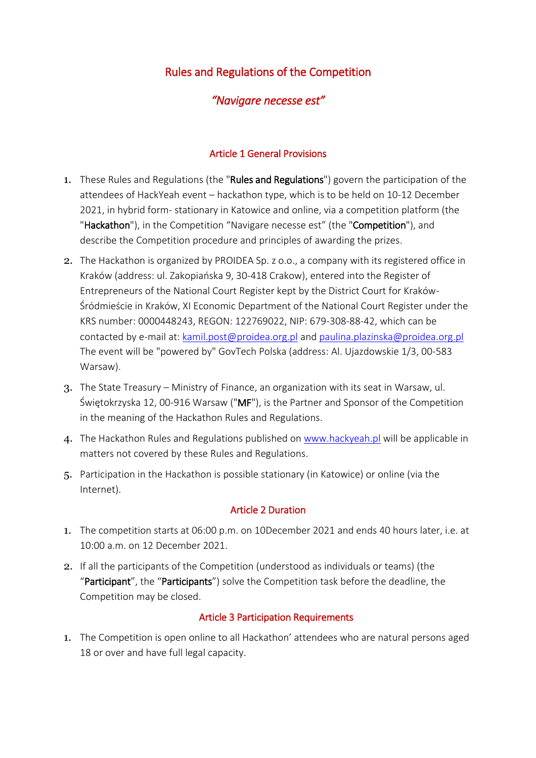# Rules and Regulations of the Competition

# *"Navigare necesse est"*

### Article 1 General Provisions

- 1. These Rules and Regulations (the "Rules and Regulations") govern the participation of the attendees of HackYeah event – hackathon type, which is to be held on 10-12 December 2021, in hybrid form- stationary in Katowice and online, via a competition platform (the "Hackathon"), in the Competition "Navigare necesse est" (the "Competition"), and describe the Competition procedure and principles of awarding the prizes.
- 2. The Hackathon is organized by PROIDEA Sp. z o.o., a company with its registered office in Kraków (address: ul. Zakopiańska 9, 30-418 Crakow), entered into the Register of Entrepreneurs of the National Court Register kept by the District Court for Kraków-Śródmieście in Kraków, XI Economic Department of the National Court Register under the KRS number: 0000448243, REGON: 122769022, NIP: 679-308-88-42, which can be contacted by e-mail at: [kamil.post@proidea.org.pl](mailto:kamil.post@proidea.org.pl) and [paulina.plazinska@proidea.org.pl](mailto:paulina.plazinska@proidea.org.pl) The event will be "powered by" GovTech Polska (address: Al. Ujazdowskie 1/3, 00-583 Warsaw).
- 3. The State Treasury Ministry of Finance, an organization with its seat in Warsaw, ul. Świętokrzyska 12, 00-916 Warsaw ("MF"), is the Partner and Sponsor of the Competition in the meaning of the Hackathon Rules and Regulations.
- 4. The Hackathon Rules and Regulations published on [www.hackyeah.pl](http://www.hackyeah.pl/) will be applicable in matters not covered by these Rules and Regulations.
- 5. Participation in the Hackathon is possible stationary (in Katowice) or online (via the Internet).

#### Article 2 Duration

- 1. The competition starts at 06:00 p.m. on 10December 2021 and ends 40 hours later, i.e. at 10:00 a.m. on 12 December 2021.
- 2. If all the participants of the Competition (understood as individuals or teams) (the "Participant", the "Participants") solve the Competition task before the deadline, the Competition may be closed.

#### Article 3 Participation Requirements

1. The Competition is open online to all Hackathon' attendees who are natural persons aged 18 or over and have full legal capacity.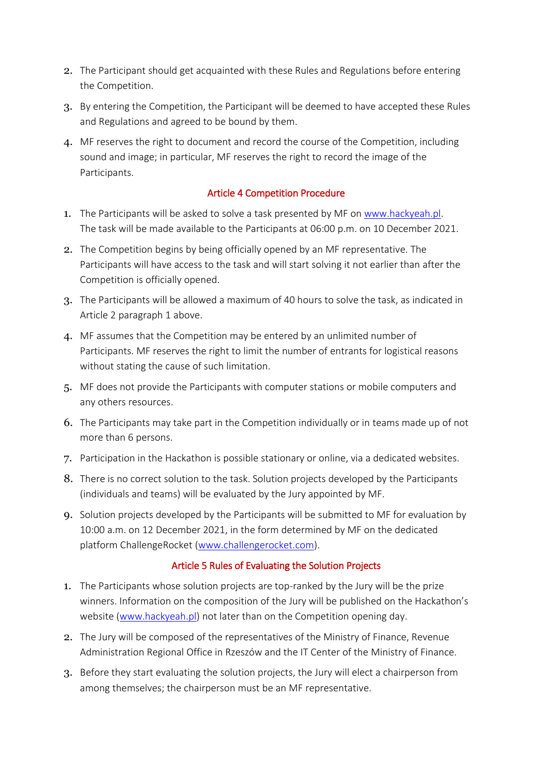- 2. The Participant should get acquainted with these Rules and Regulations before entering the Competition.
- 3. By entering the Competition, the Participant will be deemed to have accepted these Rules and Regulations and agreed to be bound by them.
- 4. MF reserves the right to document and record the course of the Competition, including sound and image; in particular, MF reserves the right to record the image of the Participants.

# Article 4 Competition Procedure

- 1. The Participants will be asked to solve a task presented by MF on [www.hackyeah.pl.](http://www.hackyeah.pl/) The task will be made available to the Participants at 06:00 p.m. on 10 December 2021.
- 2. The Competition begins by being officially opened by an MF representative. The Participants will have access to the task and will start solving it not earlier than after the Competition is officially opened.
- 3. The Participants will be allowed a maximum of 40 hours to solve the task, as indicated in Article 2 paragraph 1 above.
- 4. MF assumes that the Competition may be entered by an unlimited number of Participants. MF reserves the right to limit the number of entrants for logistical reasons without stating the cause of such limitation.
- 5. MF does not provide the Participants with computer stations or mobile computers and any others resources.
- 6. The Participants may take part in the Competition individually or in teams made up of not more than 6 persons.
- 7. Participation in the Hackathon is possible stationary or online, via a dedicated websites.
- 8. There is no correct solution to the task. Solution projects developed by the Participants (individuals and teams) will be evaluated by the Jury appointed by MF.
- 9. Solution projects developed by the Participants will be submitted to MF for evaluation by 10:00 a.m. on 12 December 2021, in the form determined by MF on the dedicated platform ChallengeRocket [\(www.challengerocket.com\)](http://www.challengerocket.com/).

# Article 5 Rules of Evaluating the Solution Projects

- 1. The Participants whose solution projects are top-ranked by the Jury will be the prize winners. Information on the composition of the Jury will be published on the Hackathon's website [\(www.hackyeah.pl\)](http://www.hackyeah.pl/) not later than on the Competition opening day.
- 2. The Jury will be composed of the representatives of the Ministry of Finance, Revenue Administration Regional Office in Rzeszów and the IT Center of the Ministry of Finance.
- 3. Before they start evaluating the solution projects, the Jury will elect a chairperson from among themselves; the chairperson must be an MF representative.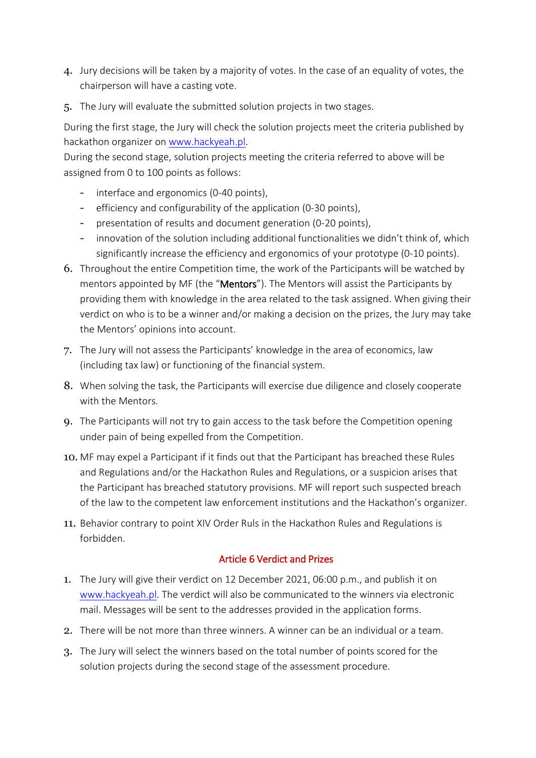- 4. Jury decisions will be taken by a majority of votes. In the case of an equality of votes, the chairperson will have a casting vote.
- 5. The Jury will evaluate the submitted solution projects in two stages.

During the first stage, the Jury will check the solution projects meet the criteria published by hackathon organizer on [www.hackyeah.pl.](http://www.hackyeah.pl/)

During the second stage, solution projects meeting the criteria referred to above will be assigned from 0 to 100 points as follows:

- interface and ergonomics (0-40 points),
- efficiency and configurability of the application (0-30 points),
- presentation of results and document generation (0-20 points),
- innovation of the solution including additional functionalities we didn't think of, which significantly increase the efficiency and ergonomics of your prototype (0-10 points).
- 6. Throughout the entire Competition time, the work of the Participants will be watched by mentors appointed by MF (the "Mentors"). The Mentors will assist the Participants by providing them with knowledge in the area related to the task assigned. When giving their verdict on who is to be a winner and/or making a decision on the prizes, the Jury may take the Mentors' opinions into account.
- 7. The Jury will not assess the Participants' knowledge in the area of economics, law (including tax law) or functioning of the financial system.
- 8. When solving the task, the Participants will exercise due diligence and closely cooperate with the Mentors.
- 9. The Participants will not try to gain access to the task before the Competition opening under pain of being expelled from the Competition.
- 10. MF may expel a Participant if it finds out that the Participant has breached these Rules and Regulations and/or the Hackathon Rules and Regulations, or a suspicion arises that the Participant has breached statutory provisions. MF will report such suspected breach of the law to the competent law enforcement institutions and the Hackathon's organizer.
- 11. Behavior contrary to point XIV Order Ruls in the Hackathon Rules and Regulations is forbidden.

#### Article 6 Verdict and Prizes

- 1. The Jury will give their verdict on 12 December 2021, 06:00 p.m., and publish it on [www.hackyeah.pl.](http://www.hackyeah.pl/) The verdict will also be communicated to the winners via electronic mail. Messages will be sent to the addresses provided in the application forms.
- 2. There will be not more than three winners. A winner can be an individual or a team.
- 3. The Jury will select the winners based on the total number of points scored for the solution projects during the second stage of the assessment procedure.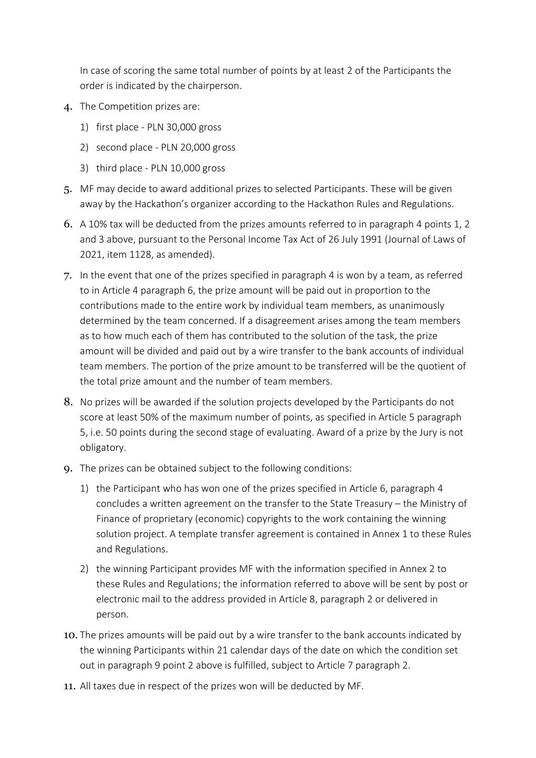In case of scoring the same total number of points by at least 2 of the Participants the order is indicated by the chairperson.

- 4. The Competition prizes are:
	- 1) first place PLN 30,000 gross
	- 2) second place PLN 20,000 gross
	- 3) third place PLN 10,000 gross
- 5. MF may decide to award additional prizes to selected Participants. These will be given away by the Hackathon's organizer according to the Hackathon Rules and Regulations.
- 6. A 10% tax will be deducted from the prizes amounts referred to in paragraph 4 points 1, 2 and 3 above, pursuant to the Personal Income Tax Act of 26 July 1991 (Journal of Laws of 2021, item 1128, as amended).
- 7. In the event that one of the prizes specified in paragraph 4 is won by a team, as referred to in Article 4 paragraph 6, the prize amount will be paid out in proportion to the contributions made to the entire work by individual team members, as unanimously determined by the team concerned. If a disagreement arises among the team members as to how much each of them has contributed to the solution of the task, the prize amount will be divided and paid out by a wire transfer to the bank accounts of individual team members. The portion of the prize amount to be transferred will be the quotient of the total prize amount and the number of team members.
- 8. No prizes will be awarded if the solution projects developed by the Participants do not score at least 50% of the maximum number of points, as specified in Article 5 paragraph 5, i.e. 50 points during the second stage of evaluating. Award of a prize by the Jury is not obligatory.
- 9. The prizes can be obtained subject to the following conditions:
	- 1) the Participant who has won one of the prizes specified in Article 6, paragraph 4 concludes a written agreement on the transfer to the State Treasury – the Ministry of Finance of proprietary (economic) copyrights to the work containing the winning solution project. A template transfer agreement is contained in Annex 1 to these Rules and Regulations.
	- 2) the winning Participant provides MF with the information specified in Annex 2 to these Rules and Regulations; the information referred to above will be sent by post or electronic mail to the address provided in Article 8, paragraph 2 or delivered in person.
- 10. The prizes amounts will be paid out by a wire transfer to the bank accounts indicated by the winning Participants within 21 calendar days of the date on which the condition set out in paragraph 9 point 2 above is fulfilled, subject to Article 7 paragraph 2.
- 11. All taxes due in respect of the prizes won will be deducted by MF.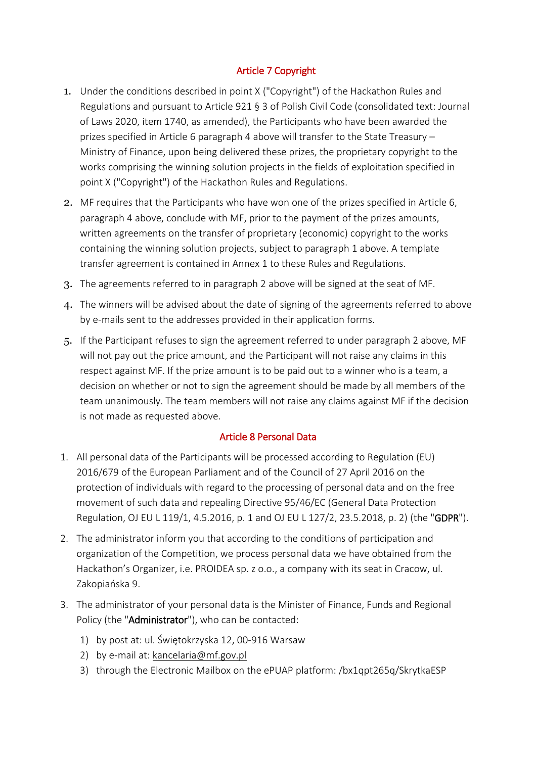# Article 7 Copyright

- 1. Under the conditions described in point X ("Copyright") of the Hackathon Rules and Regulations and pursuant to Article 921 § 3 of Polish Civil Code (consolidated text: Journal of Laws 2020, item 1740, as amended), the Participants who have been awarded the prizes specified in Article 6 paragraph 4 above will transfer to the State Treasury – Ministry of Finance, upon being delivered these prizes, the proprietary copyright to the works comprising the winning solution projects in the fields of exploitation specified in point X ("Copyright") of the Hackathon Rules and Regulations.
- 2. MF requires that the Participants who have won one of the prizes specified in Article 6, paragraph 4 above, conclude with MF, prior to the payment of the prizes amounts, written agreements on the transfer of proprietary (economic) copyright to the works containing the winning solution projects, subject to paragraph 1 above. A template transfer agreement is contained in Annex 1 to these Rules and Regulations.
- 3. The agreements referred to in paragraph 2 above will be signed at the seat of MF.
- 4. The winners will be advised about the date of signing of the agreements referred to above by e-mails sent to the addresses provided in their application forms.
- 5. If the Participant refuses to sign the agreement referred to under paragraph 2 above, MF will not pay out the price amount, and the Participant will not raise any claims in this respect against MF. If the prize amount is to be paid out to a winner who is a team, a decision on whether or not to sign the agreement should be made by all members of the team unanimously. The team members will not raise any claims against MF if the decision is not made as requested above.

# Article 8 Personal Data

- 1. All personal data of the Participants will be processed according to Regulation (EU) 2016/679 of the European Parliament and of the Council of 27 April 2016 on the protection of individuals with regard to the processing of personal data and on the free movement of such data and repealing Directive 95/46/EC (General Data Protection Regulation, OJ EU L 119/1, 4.5.2016, p. 1 and OJ EU L 127/2, 23.5.2018, p. 2) (the "GDPR").
- 2. The administrator inform you that according to the conditions of participation and organization of the Competition, we process personal data we have obtained from the Hackathon's Organizer, i.e. PROIDEA sp. z o.o., a company with its seat in Cracow, ul. Zakopiańska 9.
- 3. The administrator of your personal data is the Minister of Finance, Funds and Regional Policy (the "Administrator"), who can be contacted:
	- 1) by post at: ul. Świętokrzyska 12, 00-916 Warsaw
	- 2) by e-mail at: [kancelaria@mf.gov.pl](mailto:kancelaria@mf.gov.pl)
	- 3) through the Electronic Mailbox on the ePUAP platform: /bx1qpt265q/SkrytkaESP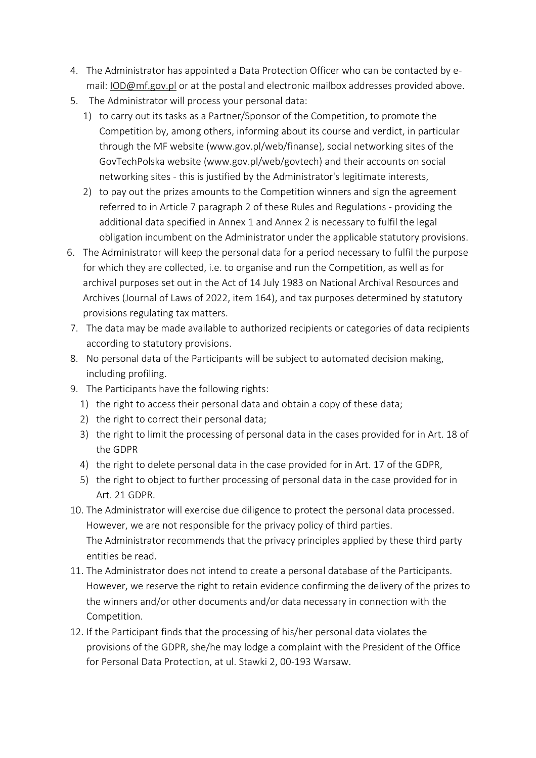- 4. The Administrator has appointed a Data Protection Officer who can be contacted by email: [IOD@mf.gov.pl](mailto:IOD@mf.gov.pl) or at the postal and electronic mailbox addresses provided above.
- 5. The Administrator will process your personal data:
	- 1) to carry out its tasks as a Partner/Sponsor of the Competition, to promote the Competition by, among others, informing about its course and verdict, in particular through the MF website (www.gov.pl/web/finanse), social networking sites of the GovTechPolska website (www.gov.pl/web/govtech) and their accounts on social networking sites - this is justified by the Administrator's legitimate interests,
	- 2) to pay out the prizes amounts to the Competition winners and sign the agreement referred to in Article 7 paragraph 2 of these Rules and Regulations - providing the additional data specified in Annex 1 and Annex 2 is necessary to fulfil the legal obligation incumbent on the Administrator under the applicable statutory provisions.
- 6. The Administrator will keep the personal data for a period necessary to fulfil the purpose for which they are collected, i.e. to organise and run the Competition, as well as for archival purposes set out in the Act of 14 July 1983 on National Archival Resources and Archives (Journal of Laws of 2022, item 164), and tax purposes determined by statutory provisions regulating tax matters.
- 7. The data may be made available to authorized recipients or categories of data recipients according to statutory provisions.
- 8. No personal data of the Participants will be subject to automated decision making, including profiling.
- 9. The Participants have the following rights:
	- 1) the right to access their personal data and obtain a copy of these data;
	- 2) the right to correct their personal data;
	- 3) the right to limit the processing of personal data in the cases provided for in Art. 18 of the GDPR
	- 4) the right to delete personal data in the case provided for in Art. 17 of the GDPR,
	- 5) the right to object to further processing of personal data in the case provided for in Art. 21 GDPR.
- 10. The Administrator will exercise due diligence to protect the personal data processed. However, we are not responsible for the privacy policy of third parties. The Administrator recommends that the privacy principles applied by these third party entities be read.
- 11. The Administrator does not intend to create a personal database of the Participants. However, we reserve the right to retain evidence confirming the delivery of the prizes to the winners and/or other documents and/or data necessary in connection with the Competition.
- 12. If the Participant finds that the processing of his/her personal data violates the provisions of the GDPR, she/he may lodge a complaint with the President of the Office for Personal Data Protection, at ul. Stawki 2, 00-193 Warsaw.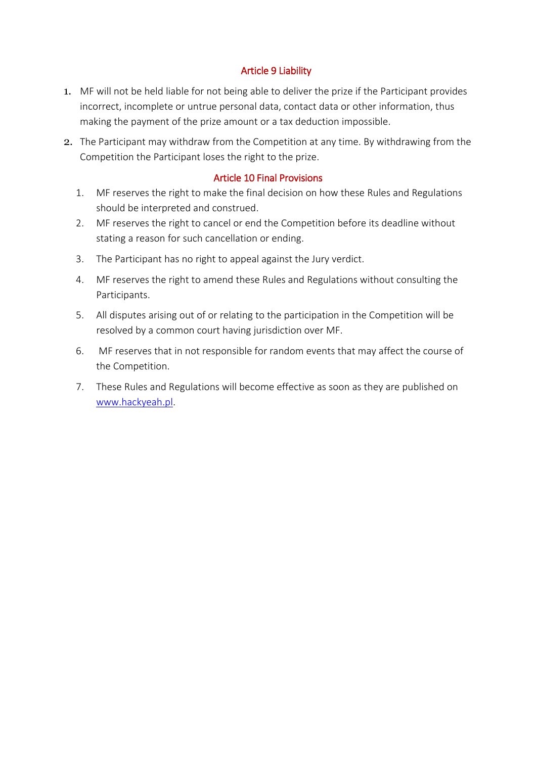### Article 9 Liability

- 1. MF will not be held liable for not being able to deliver the prize if the Participant provides incorrect, incomplete or untrue personal data, contact data or other information, thus making the payment of the prize amount or a tax deduction impossible.
- 2. The Participant may withdraw from the Competition at any time. By withdrawing from the Competition the Participant loses the right to the prize.

#### Article 10 Final Provisions

- 1. MF reserves the right to make the final decision on how these Rules and Regulations should be interpreted and construed.
- 2. MF reserves the right to cancel or end the Competition before its deadline without stating a reason for such cancellation or ending.
- 3. The Participant has no right to appeal against the Jury verdict.
- 4. MF reserves the right to amend these Rules and Regulations without consulting the Participants.
- 5. All disputes arising out of or relating to the participation in the Competition will be resolved by a common court having jurisdiction over MF.
- 6. MF reserves that in not responsible for random events that may affect the course of the Competition.
- 7. These Rules and Regulations will become effective as soon as they are published on [www.hackyeah.pl.](http://www.hackyeah.pl/)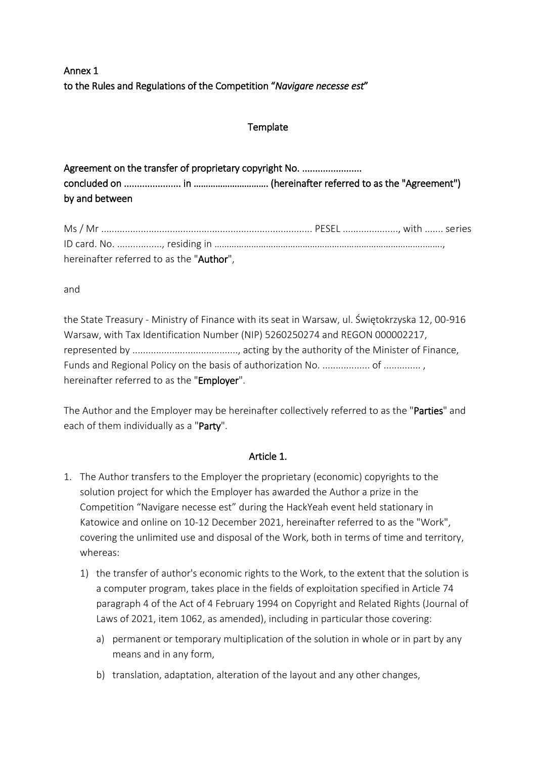Annex 1 to the Rules and Regulations of the Competition "*Navigare necesse est*"

# **Template**

| Agreement on the transfer of proprietary copyright No. |  |  |  |  |
|--------------------------------------------------------|--|--|--|--|
|                                                        |  |  |  |  |
| by and between                                         |  |  |  |  |

| hereinafter referred to as the "Author", |  |
|------------------------------------------|--|

and

the State Treasury - Ministry of Finance with its seat in Warsaw, ul. Świętokrzyska 12, 00-916 Warsaw, with Tax Identification Number (NIP) 5260250274 and REGON 000002217, represented by ........................................, acting by the authority of the Minister of Finance, Funds and Regional Policy on the basis of authorization No. .................. of .............. , hereinafter referred to as the "Employer".

The Author and the Employer may be hereinafter collectively referred to as the "Parties" and each of them individually as a "Party".

# Article 1.

- 1. The Author transfers to the Employer the proprietary (economic) copyrights to the solution project for which the Employer has awarded the Author a prize in the Competition "Navigare necesse est" during the HackYeah event held stationary in Katowice and online on 10-12 December 2021, hereinafter referred to as the "Work", covering the unlimited use and disposal of the Work, both in terms of time and territory, whereas:
	- 1) the transfer of author's economic rights to the Work, to the extent that the solution is a computer program, takes place in the fields of exploitation specified in Article 74 paragraph 4 of the Act of 4 February 1994 on Copyright and Related Rights (Journal of Laws of 2021, item 1062, as amended), including in particular those covering:
		- a) permanent or temporary multiplication of the solution in whole or in part by any means and in any form,
		- b) translation, adaptation, alteration of the layout and any other changes,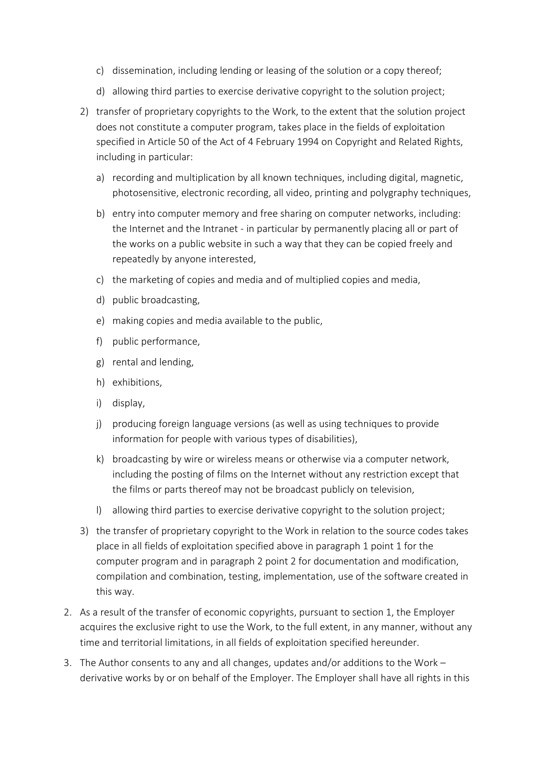- c) dissemination, including lending or leasing of the solution or a copy thereof;
- d) allowing third parties to exercise derivative copyright to the solution project;
- 2) transfer of proprietary copyrights to the Work, to the extent that the solution project does not constitute a computer program, takes place in the fields of exploitation specified in Article 50 of the Act of 4 February 1994 on Copyright and Related Rights, including in particular:
	- a) recording and multiplication by all known techniques, including digital, magnetic, photosensitive, electronic recording, all video, printing and polygraphy techniques,
	- b) entry into computer memory and free sharing on computer networks, including: the Internet and the Intranet - in particular by permanently placing all or part of the works on a public website in such a way that they can be copied freely and repeatedly by anyone interested,
	- c) the marketing of copies and media and of multiplied copies and media,
	- d) public broadcasting,
	- e) making copies and media available to the public,
	- f) public performance,
	- g) rental and lending,
	- h) exhibitions,
	- i) display,
	- j) producing foreign language versions (as well as using techniques to provide information for people with various types of disabilities),
	- k) broadcasting by wire or wireless means or otherwise via a computer network, including the posting of films on the Internet without any restriction except that the films or parts thereof may not be broadcast publicly on television,
	- l) allowing third parties to exercise derivative copyright to the solution project;
- 3) the transfer of proprietary copyright to the Work in relation to the source codes takes place in all fields of exploitation specified above in paragraph 1 point 1 for the computer program and in paragraph 2 point 2 for documentation and modification, compilation and combination, testing, implementation, use of the software created in this way.
- 2. As a result of the transfer of economic copyrights, pursuant to section 1, the Employer acquires the exclusive right to use the Work, to the full extent, in any manner, without any time and territorial limitations, in all fields of exploitation specified hereunder.
- 3. The Author consents to any and all changes, updates and/or additions to the Work derivative works by or on behalf of the Employer. The Employer shall have all rights in this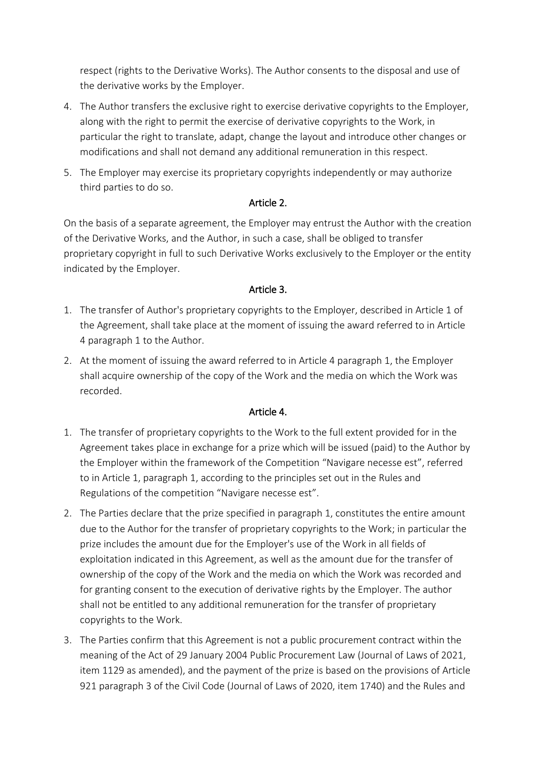respect (rights to the Derivative Works). The Author consents to the disposal and use of the derivative works by the Employer.

- 4. The Author transfers the exclusive right to exercise derivative copyrights to the Employer, along with the right to permit the exercise of derivative copyrights to the Work, in particular the right to translate, adapt, change the layout and introduce other changes or modifications and shall not demand any additional remuneration in this respect.
- 5. The Employer may exercise its proprietary copyrights independently or may authorize third parties to do so.

### Article 2.

On the basis of a separate agreement, the Employer may entrust the Author with the creation of the Derivative Works, and the Author, in such a case, shall be obliged to transfer proprietary copyright in full to such Derivative Works exclusively to the Employer or the entity indicated by the Employer.

### Article 3.

- 1. The transfer of Author's proprietary copyrights to the Employer, described in Article 1 of the Agreement, shall take place at the moment of issuing the award referred to in Article 4 paragraph 1 to the Author.
- 2. At the moment of issuing the award referred to in Article 4 paragraph 1, the Employer shall acquire ownership of the copy of the Work and the media on which the Work was recorded.

# Article 4.

- 1. The transfer of proprietary copyrights to the Work to the full extent provided for in the Agreement takes place in exchange for a prize which will be issued (paid) to the Author by the Employer within the framework of the Competition "Navigare necesse est", referred to in Article 1, paragraph 1, according to the principles set out in the Rules and Regulations of the competition "Navigare necesse est".
- 2. The Parties declare that the prize specified in paragraph 1, constitutes the entire amount due to the Author for the transfer of proprietary copyrights to the Work; in particular the prize includes the amount due for the Employer's use of the Work in all fields of exploitation indicated in this Agreement, as well as the amount due for the transfer of ownership of the copy of the Work and the media on which the Work was recorded and for granting consent to the execution of derivative rights by the Employer. The author shall not be entitled to any additional remuneration for the transfer of proprietary copyrights to the Work.
- 3. The Parties confirm that this Agreement is not a public procurement contract within the meaning of the Act of 29 January 2004 Public Procurement Law (Journal of Laws of 2021, item 1129 as amended), and the payment of the prize is based on the provisions of Article 921 paragraph 3 of the Civil Code (Journal of Laws of 2020, item 1740) and the Rules and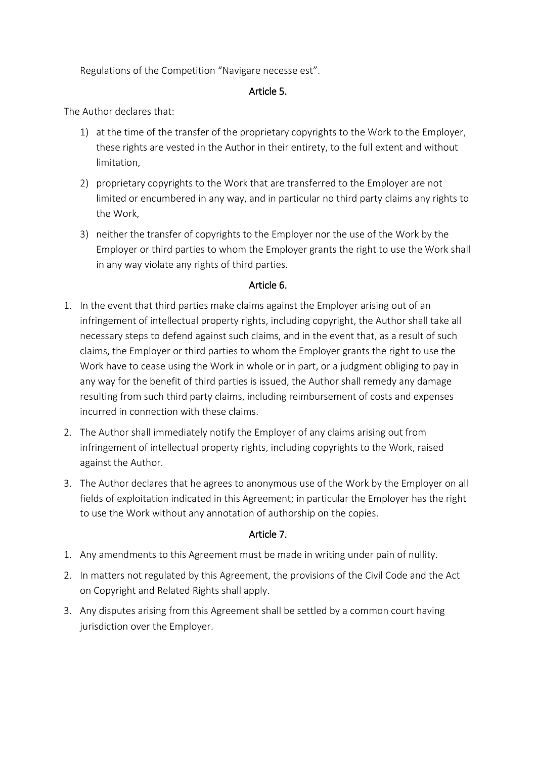Regulations of the Competition "Navigare necesse est".

## Article 5.

The Author declares that:

- 1) at the time of the transfer of the proprietary copyrights to the Work to the Employer, these rights are vested in the Author in their entirety, to the full extent and without limitation,
- 2) proprietary copyrights to the Work that are transferred to the Employer are not limited or encumbered in any way, and in particular no third party claims any rights to the Work,
- 3) neither the transfer of copyrights to the Employer nor the use of the Work by the Employer or third parties to whom the Employer grants the right to use the Work shall in any way violate any rights of third parties.

# Article 6.

- 1. In the event that third parties make claims against the Employer arising out of an infringement of intellectual property rights, including copyright, the Author shall take all necessary steps to defend against such claims, and in the event that, as a result of such claims, the Employer or third parties to whom the Employer grants the right to use the Work have to cease using the Work in whole or in part, or a judgment obliging to pay in any way for the benefit of third parties is issued, the Author shall remedy any damage resulting from such third party claims, including reimbursement of costs and expenses incurred in connection with these claims.
- 2. The Author shall immediately notify the Employer of any claims arising out from infringement of intellectual property rights, including copyrights to the Work, raised against the Author.
- 3. The Author declares that he agrees to anonymous use of the Work by the Employer on all fields of exploitation indicated in this Agreement; in particular the Employer has the right to use the Work without any annotation of authorship on the copies.

#### Article 7.

- 1. Any amendments to this Agreement must be made in writing under pain of nullity.
- 2. In matters not regulated by this Agreement, the provisions of the Civil Code and the Act on Copyright and Related Rights shall apply.
- 3. Any disputes arising from this Agreement shall be settled by a common court having jurisdiction over the Employer.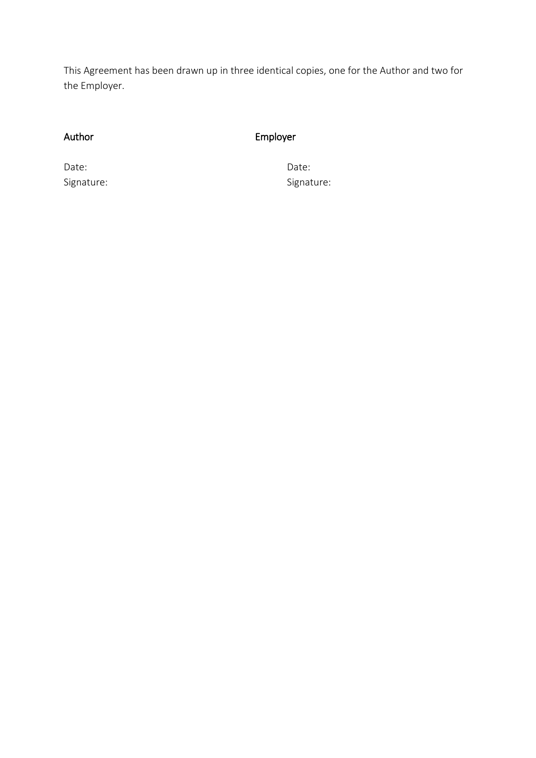This Agreement has been drawn up in three identical copies, one for the Author and two for the Employer.

# Author Employer

Date: **Date:** Date: **Date:** Partnership of the Date: **Date: Date:** Partnership of the Date: **Date:**  $\theta$ Signature: Signature: Signature: Signature: Signature: Signature: Signature: Signature: Signature: Signature: Signature: Signature: Signature: Signature: Signature: Signature: Signature: Signature: Signature: Signature: Si